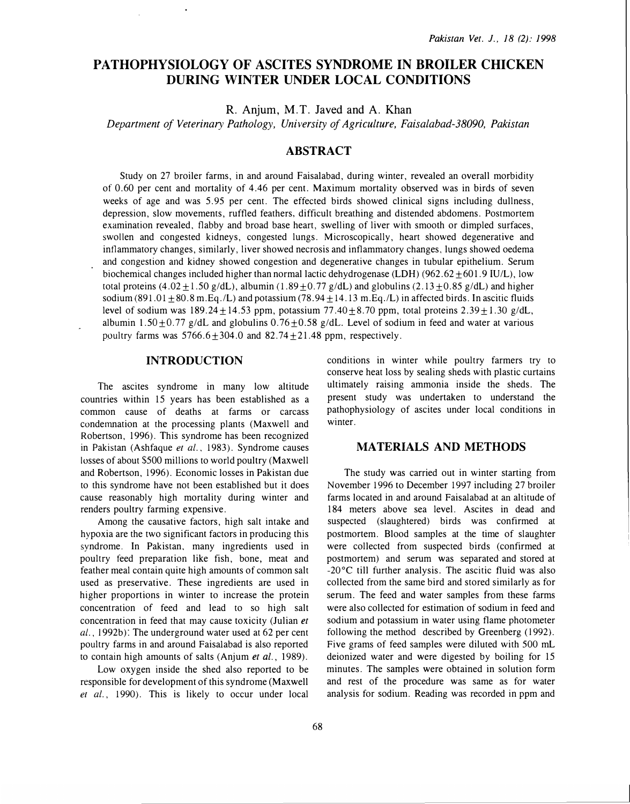# PATHOPHYSIOLOGY OF ASCITES SYNDROME IN BROILER CHICKEN DURING WINTER UNDER LOCAL CONDITIONS

R. Anjum, M.T. Javed and A. Khan

Department of Veterinary Pathology, University of Agriculture, Faisalabad-38090, Pakistan

## ABSTRACT

Study on 27 broiler farms, in and around Faisalabad, during winter, revealed an overall morbidity of 0.60 per cent and mortality of 4.46 per cent. Maximum mortality observed was in birds of seven weeks of age and was 5.95 per cent. The effected birds showed clinical signs including dullness, depression, slow movements, ruffled feathers, difficult breathing and distended abdomens. Postmortem examination revealed, flabby and broad base heart, swelling of liver with smooth or dimpled surfaces, swollen and congested kidneys, congested lungs. Microscopically, heart showed degenerative and inflammatory changes, similarly, liver showed necrosis and inflammatory changes, lungs showed oedema and congestion and kidney showed congestion and degenerative changes in tubular epithelium. Serum biochemical changes included higher than normal lactic dehydrogenase (LDH) (962.62  $\pm$  601.9 IU/L), low total proteins (4.02  $\pm$  1.50 g/dL), albumin (1.89  $\pm$  0.77 g/dL) and globulins (2.13  $\pm$  0.85 g/dL) and higher sodium (891.01  $\pm$  80.8 m.Eq./L) and potassium (78.94  $\pm$  14.13 m.Eq./L) in affected birds. In ascitic fluids level of sodium was  $189.24 \pm 14.53$  ppm, potassium  $77.40 \pm 8.70$  ppm, total proteins  $2.39 \pm 1.30$  g/dL, albumin 1.50 $\pm$ 0.77 g/dL and globulins 0.76 $\pm$ 0.58 g/dL. Level of sodium in feed and water at various poultry farms was  $5766.6 \pm 304.0$  and  $82.74 \pm 21.48$  ppm, respectively.

### INTRODUCTION

The ascites syndrome in many low altitude countries within 15 years has been established as a common cause of deaths at farms or carcass condemnation at the processing plants (Maxwell and Robertson, 1996). This syndrome has been recognized in Pakistan (Ashfaque et al., 1983). Syndrome causes losses of about \$500 millions to world poultry (Maxwell and Robertson, 1996). Economic losses in Pakistan due to this syndrome have not been established but it does cause reasonably high mortality during winter and renders poultry farming expensive.

Among the causative factors, high salt intake and hypoxia are the two significant factors in producing this syndrome. In Pakistan, many ingredients used in poultry feed preparation like fish, bone, meat and feather meal contain quite high amounts of common salt used as preservative. These ingredients are used in higher proportions in winter to increase the protein concentration of feed and lead to so high salt concentration in feed that may cause toxicity (Julian et al., 1992b): The underground water used at 62 per cent poultry farms in and around Faisalabad is also reported to contain high amounts of salts (Anjum et al., 1989).

Low oxygen inside the shed also reported to be responsible for development of this syndrome (Maxwell et al., 1990). This is likely to occur under local conditions in winter while poultry farmers try to conserve heat loss by sealing sheds with plastic curtains ultimately raising ammonia inside the sheds. The present study was undertaken to understand the pathophysiology of ascites under local conditions in winter.

### MATERIALS AND METHODS

The study was carried out in winter starting from November 1996 to December 1997 including 27 broiler farms located in and around Faisalabad at an altitude of 184 meters above sea level. Ascites in dead and suspected (slaughtered) birds was confirmed at postmortem. Blood samples at the time of slaughter were collected from suspected birds (confirmed at postmortem) and serum was separated and stored at -20°C till further analysis. The ascitic fluid was also collected from the same bird and stored similarly as for serum. The feed and water samples from these farms were also collected for estimation of sodium in feed and sodium and potassium in water using flame photometer following the method described by Greenberg (1992). Five grams of feed samples were diluted with 500 mL deionized water and were digested by boiling for 15 minutes. The samples were obtained in solution form and rest of the procedure was same as for water analysis for sodium. Reading was recorded in ppm and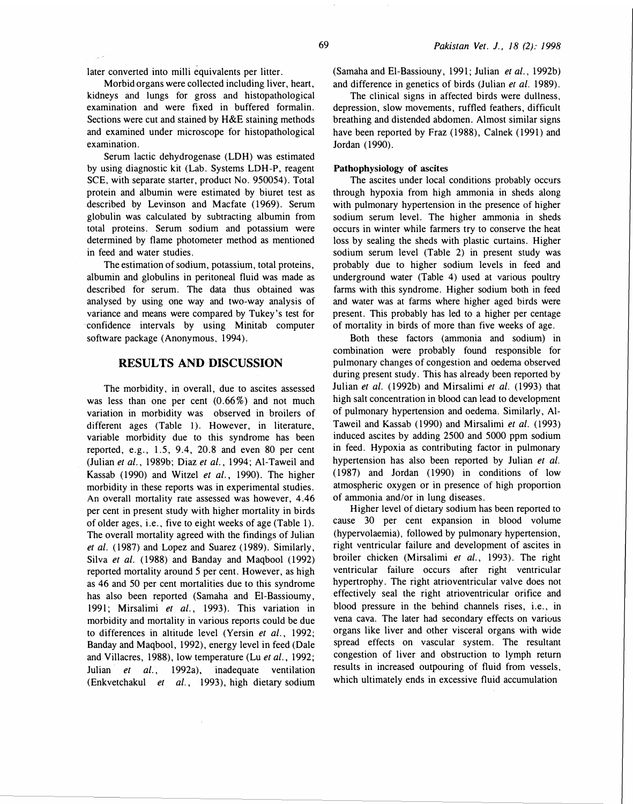later converted into milli equivalents per litter.

Morbid organs were collected including liver, heart, kidneys and lungs for gross and histopathological examination and were fixed in buffered formalin. Sections were cut and stained by H&E staining methods and examined under microscope for histopathological examination.

Serum lactic dehydrogenase (LDH) was estimated by using diagnostic kit (Lab. Systems LDH-P, reagent SCE, with separate starter, product No. 950054). Total protein and albumin were estimated by biuret test as described by Levinson and Macfate (1969). Serum globulin was calculated by subtracting albumin from total proteins. Serum sodium and potassium were determined by flame photometer method as mentioned in feed and water studies.

The estimation of sodium, potassium, total proteins, albumin and globulins in peritoneal fluid was made as described for serum. The data thus obtained was analysed by using one way and two-way analysis of variance and means were compared by Tukey's test for confidence intervals by using Minitab computer software package (Anonymous, 1994).

### RESULTS AND DISCUSSION

The morbidity, in overall, due to ascites assessed was less than one per cent  $(0.66\%)$  and not much variation in morbidity was observed in broilers of different ages (Table I). However, in literature, variable morbidity due to this syndrome has been reported, e.g., 1.5, 9.4, 20.8 and even 80 per cent (Julian et al., 1989b; Diaz et al., 1994; Al-Taweil and Kassab (1990) and Witzel et al., 1990). The higher morbidity in these reports was in experimental studies. An overall mortality rate assessed was however, 4.46 per cent in present study with higher mortality in birds of older ages, i.e., five to eight weeks of age (Table 1). The overall mortality agreed with the findings of Julian et al. ( 1987) and Lopez and Suarez ( 1989). Similarly, Silva et al. (1988) and Banday and Maqbool (1992) reported mortality around 5 per cent. However, as high as 46 and 50 per cent mortalities due to this syndrome has also been reported (Samaha and El-Bassioumy, 1991; Mirsalimi et al., 1993). This variation in morbidity and mortality in various reports could be due to differences in altitude level (Yersin et al., 1992; Banday and Maqbool, 1992), energy level in feed (Dale and Villacres, 1988), low temperature (Lu et al., 1992; Julian et al., 1992a), inadequate ventilation (Enkvetchakul et al., 1993), high dietary sodium (Samaha and El-Bassiouny, 1991; Julian et al., 1992b) and difference in genetics of birds (Julian et al. 1989).

The clinical signs in affected birds were dullness, depression, slow movements, ruffled feathers, difficult breathing and distended abdomen. Almost similar signs have been reported by Fraz (1988), Calnek (1991) and Jordan (1990).

#### Pathophysiology of ascites

The ascites under local conditions probably occurs through hypoxia from high ammonia in sheds along with pulmonary hypertension in the presence of higher sodium serum level. The higher ammonia in sheds occurs in winter while farmers try to conserve the heat loss by sealing the sheds with plastic curtains. Higher sodium serum level (Table 2) in present study was probably due to higher sodium levels in feed and underground water (Table 4) used at various poultry farms with this syndrome. Higher sodium both in feed and water was at farms where higher aged birds were present. This probably has led to a higher per centage of mortality in birds of more than five weeks of age.

Both these factors (ammonia and sodium) in combination were probably found responsible for pulmonary changes of congestion and oedema observed during present study. This has already been reported by Julian et al. (1992b) and Mirsalimi et al. (1993) that high salt concentration in blood can lead to development of pulmonary hypertension and oedema. Similarly, Al-Taweil and Kassab ( 1990) and Mirsalimi et al. (1993) induced ascites by adding 2500 and 5000 ppm sodium in feed. Hypoxia as contributing factor in pulmonary hypertension has also been reported by Julian et al. ( 1987) and Jordan ( 1990) in conditions of low atmospheric oxygen or in presence of high proportion of ammonia and/or in lung diseases.

Higher level of dietary sodium has been reported to cause 30 per cent expansion in blood volume (hypervolaemia), followed by pulmonary hypertension, right ventricular failure and development of ascites in broiler chicken (Mirsalimi et al., 1993). The right ventricular failure occurs after right ventricular hypertrophy. The right atrioventricular valve does not effectively seal the right atrioventricular orifice and blood pressure in the behind channels rises, i.e., in vena cava. The later had secondary effects on various organs like liver and other visceral organs with wide spread effects on vascular system. The resultant congestion of liver and obstruction to lymph return results in increased outpouring of fluid from vessels, which ultimately ends in excessive fluid accumulation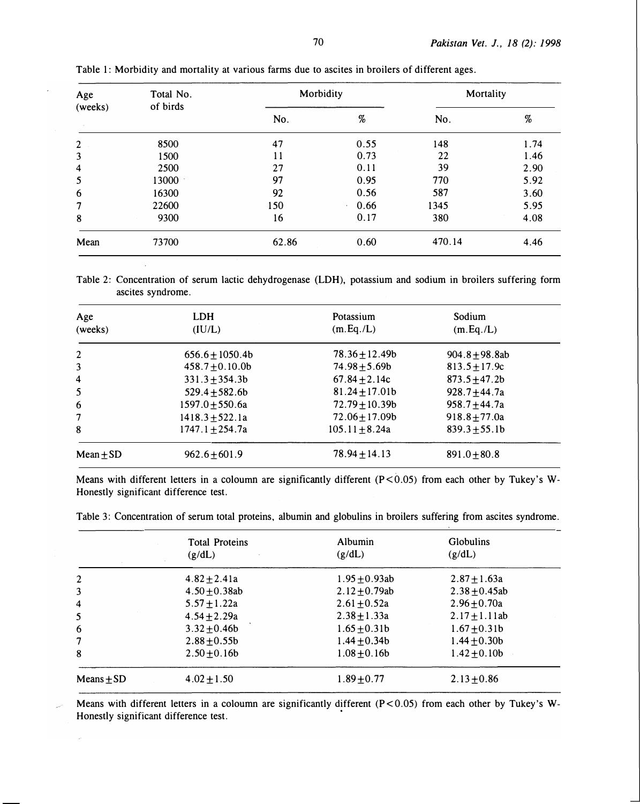| Age<br>(weeks)          | Total No.<br>of birds | Morbidity |                                                                                                            | Mortality |      |
|-------------------------|-----------------------|-----------|------------------------------------------------------------------------------------------------------------|-----------|------|
|                         |                       | No.       | $% \mathcal{L}_{\mathrm{C}}\!\left(\mathcal{H}\right) =\mathcal{H}_{\mathrm{C}}\!\left(\mathcal{H}\right)$ | No.       | $\%$ |
| $\overline{2}$          | 8500                  | 47        | 0.55                                                                                                       | 148       | 1.74 |
| 3                       | 1500                  | 11        | 0.73                                                                                                       | 22        | 1.46 |
| $\overline{\mathbf{4}}$ | 2500                  | 27        | 0.11                                                                                                       | 39        | 2.90 |
| 5                       | 13000                 | 97        | 0.95                                                                                                       | 770       | 5.92 |
| 6                       | 16300                 | 92        | 0.56                                                                                                       | 587       | 3.60 |
| 7                       | 22600                 | 150       | 0.66<br>$\mathbf{a}$                                                                                       | 1345      | 5.95 |
| 8                       | 9300                  | 16        | 0.17                                                                                                       | 380       | 4.08 |
| Mean                    | 73700                 | 62.86     | 0.60                                                                                                       | 470.14    | 4.46 |

Table 1: Morbidity and mortality at various farms due to ascites in broilers of different ages.

Table 2: Concentration of serum lactic dehydrogenase (LDH), potassium and sodium in broilers suffering form ascites syndrome.

| Age<br>(weeks) | <b>LDH</b><br>(IU/L) | Potassium<br>(m.Eq./L) | Sodium<br>(m.Eq./L) |
|----------------|----------------------|------------------------|---------------------|
| 2              | $656.6 \pm 1050.4b$  | $78.36 \pm 12.49b$     | 904.8 $\pm$ 98.8ab  |
| 3              | $458.7 \pm 0.10.0$   | $74.98 \pm 5.69b$      | $813.5 \pm 17.9c$   |
| 4              | $331.3 + 354.3b$     | 67.84 $\pm$ 2.14c      | $873.5 + 47.2b$     |
| 5              | $529.4 \pm 582.6b$   | $81.24 \pm 17.01b$     | 928.7 $\pm$ 44.7a   |
| 6              | $1597.0 + 550.6a$    | $72.79 \pm 10.39b$     | $958.7 + 44.7a$     |
| 7              | $1418.3 + 522.1a$    | $72.06 \pm 17.09$ b    | $918.8 + 77.0a$     |
| 8              | 1747.1 $\pm$ 254.7a  | $105.11 \pm 8.24a$     | $839.3 \pm 55.1b$   |
| Mean $\pm$ SD  | $962.6 \pm 601.9$    | $78.94 \pm 14.13$      | $891.0 + 80.8$      |

Means with different letters in a coloumn are significantly different (P<0.05) from each other by Tukey's W-Honestly significant difference test.

| Table 3: Concentration of serum total proteins, albumin and globulins in broilers suffering from ascites syndrome. |  |  |  |  |
|--------------------------------------------------------------------------------------------------------------------|--|--|--|--|
|                                                                                                                    |  |  |  |  |
|                                                                                                                    |  |  |  |  |

|                | <b>Total Proteins</b><br>(g/dL) | Albumin<br>(g/dL)  | <b>Globulins</b><br>(g/dL) |
|----------------|---------------------------------|--------------------|----------------------------|
| 2              | $4.82 \pm 2.41a$                | $1.95 + 0.93ab$    | $2.87 + 1.63a$             |
| 3              | $4.50 \pm 0.38$ ab              | $2.12 \pm 0.79$ ab | $2.38 + 0.45$ ab           |
| 4              | $5.57 \pm 1.22a$                | $2.61 + 0.52a$     | $2.96 + 0.70a$             |
| 5              | $4.54 \pm 2.29a$                | $2.38 + 1.33a$     | $2.17 \pm 1.11$ ab         |
| 6              | $3.32 \pm 0.46b$                | $1.65 \pm 0.31b$   | $1.67 \pm 0.31b$           |
| 7              | $2.88 + 0.55$                   | 1.44 $\pm$ 0.34b   | 1.44 $\pm$ 0.30b           |
| 8              | $2.50 \pm 0.16b$                | $1.08 + 0.16b$     | $1.42 \pm 0.10b$           |
| Means $\pm$ SD | $4.02 \pm 1.50$                 | $1.89 + 0.77$      | $2.13 \pm 0.86$            |

Means with different letters in a coloumn are significantly different ( $P < 0.05$ ) from each other by Tukey's W-Honestly significant difference test.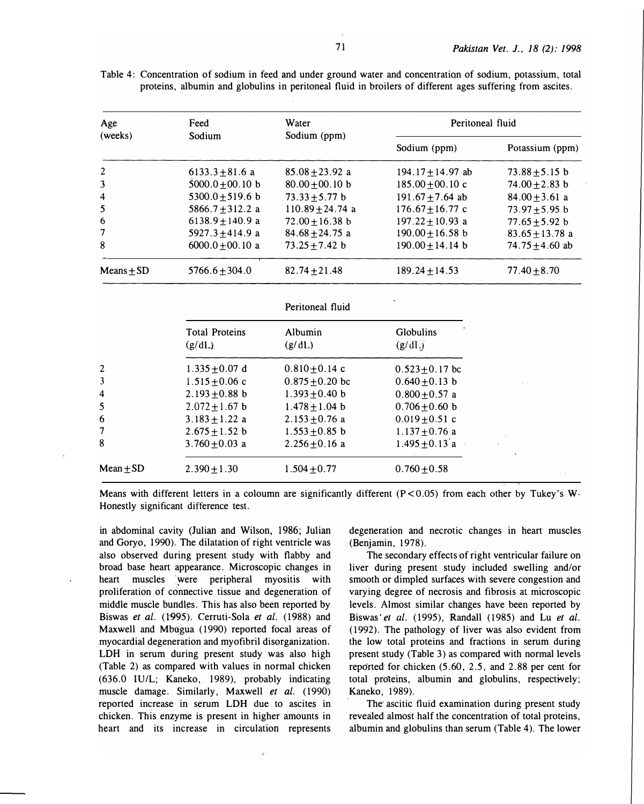| Age          | Feed                 | Water              | Peritoneal fluid      |                     |
|--------------|----------------------|--------------------|-----------------------|---------------------|
| (weeks)      | Sodium               | Sodium (ppm)       | Sodium (ppm)          | Potassium (ppm)     |
| 2            | 6133.3 $\pm$ 81.6 a  | $85.08 + 23.92$ a  | 194.17 $\pm$ 14.97 ab | $73.88 + 5.15$ b    |
| 3            | $5000.0 + 00.10$ b   | $80.00 + 00.10$ b  | $185.00 + 00.10$ c    | $74.00 + 2.83$ b    |
| 4            | $5300.0 + 519.6$ b   | $73.33 + 5.77$ b   | $191.67 + 7.64$ ab    | $84.00 + 3.61$ a    |
| 5            | 5866.7 $\pm$ 312.2 a | $110.89 + 24.74$ a | $176.67 \pm 16.77$ c  | $73.97 + 5.95$ b    |
| 6            | $6138.9 + 140.9$ a   | $72.00 + 16.38$ b  | $197.22 + 10.93$ a    | 77.65 $\pm$ 5.92 b  |
| 7            | 5927.3 $\pm$ 414.9 a | $84.68 + 24.75$ a  | $190.00 \pm 16.58$ b  | $83.65 + 13.78$ a   |
| 8            | $6000.0 + 00.10$ a   | $73.25 + 7.42$ b   | $190.00 + 14.14$ b    | 74.75 $\pm$ 4.60 ab |
| $Means + SD$ | $5766.6 + 304.0$     | $82.74 + 21.48$    | $189.24 + 14.53$      | $77.40 + 8.70$      |

Table 4: Concentration of sodium in feed and under ground water and concentration of sodium, potassium, total proteins, albumin and globulins in peritoneal fluid in broilers of different ages suffering from ascites.

Peritoneal fluid

|                | <b>Total Proteins</b><br>(g/dL) | Albumin<br>(g/dL)   | <b>Globulins</b><br>(g/dL) |
|----------------|---------------------------------|---------------------|----------------------------|
| 2              | $1.335 + 0.07$ d                | $0.810 \pm 0.14$ c  | $0.523 \pm 0.17$ bc        |
| 3              | $1.515 \pm 0.06$ c              | $0.875 \pm 0.20$ bc | $0.640 \pm 0.13$ b         |
| $\overline{4}$ | $2.193 \pm 0.88$ b              | $1.393 \pm 0.40$ b  | $0.800 + 0.57$ a           |
| 5              | $2.072 \pm 1.67$ b              | $1.478 \pm 1.04$ b  | $0.706 \pm 0.60$ b         |
| 6              | $3.183 \pm 1.22$ a              | $2.153 \pm 0.76$ a  | $0.019 \pm 0.51$ c         |
| 7              | $2.675 \pm 1.52$ b              | $1.553 \pm 0.85$ b  | $1.137 + 0.76$ a           |
| 8              | 3.760 $\pm$ 0.03 a              | $2.256 \pm 0.16$ a  | $1.495 \pm 0.13$ a         |
| $Mean + SD$    | $2.390 + 1.30$                  | $1.504 + 0.77$      | $0.760 + 0.58$             |
|                |                                 |                     |                            |

Means with different letters in a coloumn are significantly different  $(P<0.05)$  from each other by Tukey's W-Honestly significant difference test.

in abdominal cavity (Julian and Wilson, 1986; Julian and Goryo, 1990). The dilatation of right ventricle was also observed during present study with flabby and broad base heart appearance. Microscopic changes in heart muscles were peripheral myositis with proliferation of connective tissue and degeneration of middle muscle bundles. This has also been reported by Biswas et al. (1995). Cerruti-Sola et al. (1988) and Maxwell and Mbugua (1990) reported focal areas of myocardial degeneration and myofibril disorganization. LDH in serum during present study was also high (Table 2) as compared with values in normal chicken (636.0 IU/L; Kaneko, 1989), probably indicating muscle damage. Similarly, Maxwell et al. (1990) reported increase in serum LDH due to ascites in chicken. This enzyme is present in higher amounts in heart and its increase in circulation represents degeneration and necrotic changes in heart muscles (Benjamin, 1978).

The secondary effects of right ventricular failure on liver during present study included swelling and/or smooth or dimpled surfaces with severe congestion and varying degree of necrosis and fibrosis at microscopic levels. Almost similar changes have been reported by Biswas et al. (1995), Randall (1985) and Lu et al. (1992). The pathology of liver was also evident from the low total proteins and fractions in serum during present study (Table 3) as compared with normal levels reported for chicken (5.60, 2.5, and 2.88 per cent for total proteins, albumin and globulins, respectively; Kaneko, 1989).

The ascitic fluid examination during present study revealed almost half the concentration of total proteins, albumin and globulins than serum (Table 4). The lower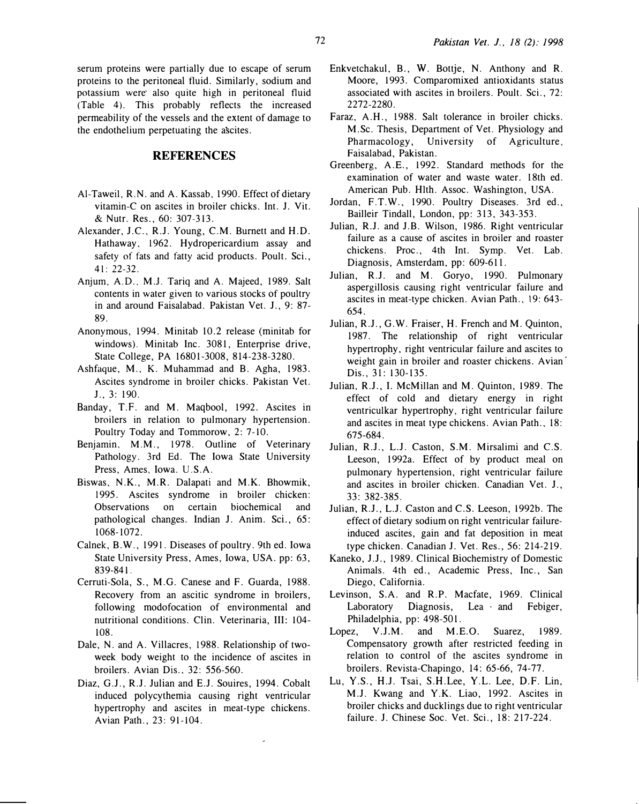serum proteins were partially due to escape of serum proteins to the peritoneal tluid. Similarly, sodium and potassium were also quite high in peritoneal fluid (Table 4). This probably reflects the increased permeability of the vessels and the extent of damage to the endothelium perpetuating the ascites.

### **REFERENCES**

- Al-Taweil, R.N. and A. Kassab, 1990. Effect of dietary vitamin-C on ascites in broiler chicks. Int. J. Vit. & Nutr. Res., 60: 307-313.
- Alexander, J.C., R.J. Young, C.M. Burnett and H.D. Hathaway, 1962. Hydropericardium assay and safety of fats and fatty acid products. Poult. Sci., 41: 22-32.
- Anjum, A.D., M.J. Tariq and A. Majeed, 1989. Salt contents in water given to various stocks of poultry in and around Faisalabad. Pakistan Vet. J., 9: 87-89.
- Anonymous, 1994. Minitab 10.2 release (minitab for windows). Minitab Inc. 3081, Enterprise drive, State College, PA 16801-3008, 814-238-3280.
- Ashfaque, M., K. Muhammad and B. Agha, 1983. Ascites syndrome in broiler chicks. Pakistan Vet. J., 3: 190.
- Banday, T.F. and M. Maqbool, 1992. Ascites in broilers in relation to pulmonary hypertension. Poultry Today and Tommorow, 2: 7-10.
- Benjamin. M.M., 1978. Outline of Veterinary Pathology. 3rd Ed. The Iowa State University Press, Ames, Iowa. U.S.A.
- Biswas, N.K., M.R. Dalapati and M.K. Bhowmik, 1995. Ascites syndrome in broiler chicken: Observations on certain biochemical and pathological changes. Indian J. Anim. Sci., 65: 1068-1072.
- Calnek, B.W., 1991. Diseases of poultry. 9th ed. Iowa State University Press, Ames, Iowa, USA. pp: 63, 839-841.
- Cerruti-Sola, S., M.G. Canese and F. Guarda, 1988. Recovery from an ascitic syndrome in broilers, following modofocation of environmental and nutritional conditions. Clin. Veterinaria, III: 104- 108.
- Dale, N. and A. Villacres, 1988. Relationship of twoweek body weight to the incidence of ascites in broilers. Avian Dis., 32: 556-560.
- Diaz, G.J., R.J. Julian and E.J. Souires, 1994. Cobalt induced polycythemia causing right ventricular hypertrophy and ascites in meat-type chickens. Avian Path., 23: 91-104.
- Enkvetchakul, B., W. Bottje, N. Anthony and R. Moore, 1993. Comparomixed antioxidants status associated with ascites in broilers. Poult. Sci., 72: 2272-2280.
- Faraz, A.H., 1988. Salt tolerance in broiler chicks. M.Sc. Thesis, Department of Vet. Physiology and Pharmacology, University of Agriculture, Faisalabad, Pakistan.
- Greenberg, A.E., 1992. Standard methods for the examination of water and waste water. 18th ed. American Pub. Hlth. Assoc. Washington, USA.
- Jordan, F.T.W., 1990. Poultry Diseases. 3rd ed., Bailleir Tindall, London, pp: 313, 343-353.
- Julian, R.J. and J.B. Wilson, 1986. Right ventricular failure as a cause of ascites in broiler and roaster chickens. Proc., 4th Int. Symp. Vet. Lab. Diagnosis, Amsterdam, pp: 609-611.
- Julian, R.J. and M. Goryo, 1990. Pulmonary aspergillosis causing right ventricular failure and ascites in meat-type chicken. Avian Path., 19: 643- 654.
- Julian, R.J., G.W. Fraiser, H. French and M. Quinton, 1987. The relationship of right ventricular hypertrophy, right ventricular failure and ascites to weight gain in broiler and roaster chickens. Avian<sup>1</sup> Dis., 31: 130-135.
- Julian, R.J., I. McMillan and M. Quinton, 1989. The effect of cold and dietary energy in right ventriculkar hypertrophy, right ventricular failure and ascites in meat type chickens. Avian Path., 18: 675-684.
- Julian, R.J., L.J. Caston, S.M. Mirsalimi and C.S. Leeson, 1992a. Effect of by product meal on pulmonary hypertension, right ventricular failure and ascites in broiler chicken. Canadian Vet. J., 33: 382-385.
- Julian, R.J., L.J. Caston and C.S. Leeson, 1992b. The effect of dietary sodium on right ventricular failureinduced ascites, gain and fat deposition in meat type chicken. Canadian J. Vet. Res., 56: 214-219.
- Kaneko, J.J., 1989. Clinical Biochemistry of Domestic Animals. 4th ed., Academic Press, Inc., San Diego, California.
- Levinson, S.A. and R.P. Macfate, 1969. Clinical Laboratory Diagnosis, Lea · and Febiger, Philadelphia, pp: 498-501.
- Lopez, V.J.M. and M.E.O. Suarez, 1989. Compensatory growth after restricted feeding in relation to control of the ascites syndrome in broilers. Revista-Chapingo, 14: 65-66, 74-77.
- Lu, Y.S., H.J. Tsai, S.H.Lee, Y.L. Lee, D.F. Lin, M.J. Kwang and Y.K. Liao, 1992. Ascites in broiler chicks and ducklings due to right ventricular failure. J. Chinese Soc. Vet. Sci., 18: 217-224.